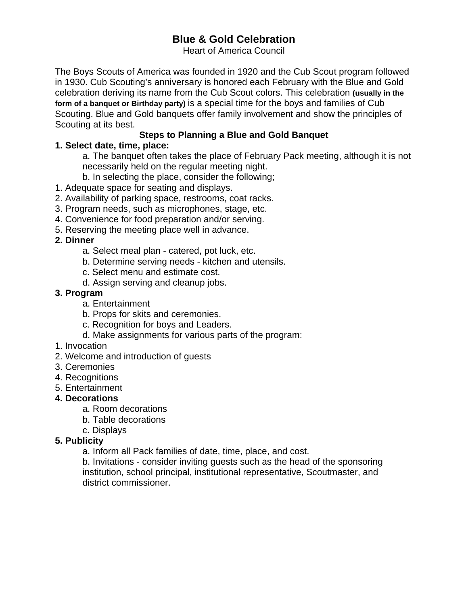# **Blue & Gold Celebration**

Heart of America Council

The Boys Scouts of America was founded in 1920 and the Cub Scout program followed in 1930. Cub Scouting's anniversary is honored each February with the Blue and Gold celebration deriving its name from the Cub Scout colors. This celebration **(usually in the form of a banquet or Birthday party)** is a special time for the boys and families of Cub Scouting. Blue and Gold banquets offer family involvement and show the principles of Scouting at its best.

## **Steps to Planning a Blue and Gold Banquet**

### **1. Select date, time, place:**

 a. The banquet often takes the place of February Pack meeting, although it is not necessarily held on the regular meeting night.

- b. In selecting the place, consider the following;
- 1. Adequate space for seating and displays.
- 2. Availability of parking space, restrooms, coat racks.
- 3. Program needs, such as microphones, stage, etc.
- 4. Convenience for food preparation and/or serving.
- 5. Reserving the meeting place well in advance.

### **2. Dinner**

- a. Select meal plan catered, pot luck, etc.
- b. Determine serving needs kitchen and utensils.
- c. Select menu and estimate cost.
- d. Assign serving and cleanup jobs.

### **3. Program**

- a. Entertainment
- b. Props for skits and ceremonies.
- c. Recognition for boys and Leaders.
- d. Make assignments for various parts of the program:
- 1. Invocation
- 2. Welcome and introduction of guests
- 3. Ceremonies
- 4. Recognitions
- 5. Entertainment

### **4. Decorations**

- a. Room decorations
- b. Table decorations
- c. Displays

### **5. Publicity**

a. Inform all Pack families of date, time, place, and cost.

 b. Invitations - consider inviting guests such as the head of the sponsoring institution, school principal, institutional representative, Scoutmaster, and district commissioner.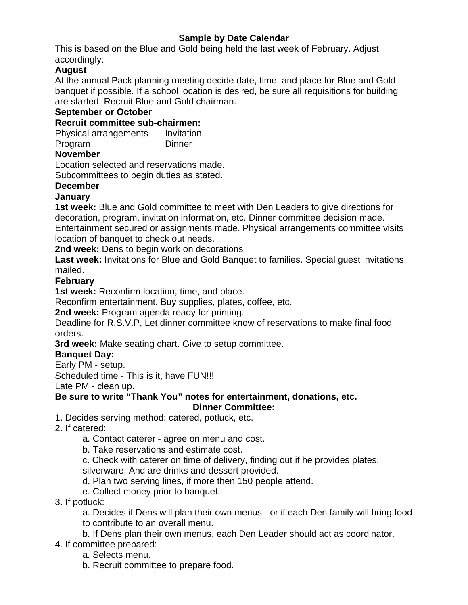### **Sample by Date Calendar**

This is based on the Blue and Gold being held the last week of February. Adjust accordingly:

### **August**

At the annual Pack planning meeting decide date, time, and place for Blue and Gold banquet if possible. If a school location is desired, be sure all requisitions for building are started. Recruit Blue and Gold chairman.

#### **September or October**

### **Recruit committee sub-chairmen:**

Physical arrangements Invitation Program Dinner

#### **November**

Location selected and reservations made.

Subcommittees to begin duties as stated.

### **December**

### **January**

**1st week:** Blue and Gold committee to meet with Den Leaders to give directions for decoration, program, invitation information, etc. Dinner committee decision made. Entertainment secured or assignments made. Physical arrangements committee visits location of banquet to check out needs.

**2nd week:** Dens to begin work on decorations

**Last week:** Invitations for Blue and Gold Banquet to families. Special guest invitations mailed.

### **February**

**1st week:** Reconfirm location, time, and place.

Reconfirm entertainment. Buy supplies, plates, coffee, etc.

**2nd week:** Program agenda ready for printing.

Deadline for R.S.V.P, Let dinner committee know of reservations to make final food orders.

**3rd week:** Make seating chart. Give to setup committee.

### **Banquet Day:**

Early PM - setup.

Scheduled time - This is it, have FUN!!!

Late PM - clean up.

#### **Be sure to write "Thank You" notes for entertainment, donations, etc. Dinner Committee:**

- 1. Decides serving method: catered, potluck, etc.
- 2. If catered:
	- a. Contact caterer agree on menu and cost.
	- b. Take reservations and estimate cost.

 c. Check with caterer on time of delivery, finding out if he provides plates, silverware. And are drinks and dessert provided.

- d. Plan two serving lines, if more then 150 people attend.
- e. Collect money prior to banquet.
- 3. If potluck:

 a. Decides if Dens will plan their own menus - or if each Den family will bring food to contribute to an overall menu.

b. If Dens plan their own menus, each Den Leader should act as coordinator.

- 4. If committee prepared:
	- a. Selects menu.
	- b. Recruit committee to prepare food.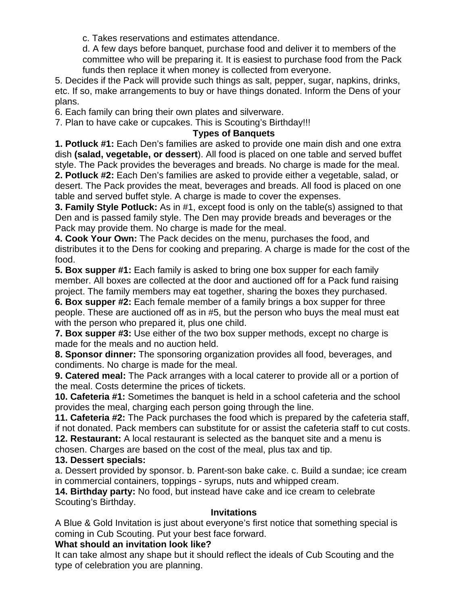c. Takes reservations and estimates attendance.

 d. A few days before banquet, purchase food and deliver it to members of the committee who will be preparing it. It is easiest to purchase food from the Pack funds then replace it when money is collected from everyone.

5. Decides if the Pack will provide such things as salt, pepper, sugar, napkins, drinks, etc. If so, make arrangements to buy or have things donated. Inform the Dens of your plans.

6. Each family can bring their own plates and silverware.

7. Plan to have cake or cupcakes. This is Scouting's Birthday!!!

#### **Types of Banquets**

**1. Potluck #1:** Each Den's families are asked to provide one main dish and one extra dish **(salad, vegetable, or dessert**). All food is placed on one table and served buffet style. The Pack provides the beverages and breads. No charge is made for the meal. **2. Potluck #2:** Each Den's families are asked to provide either a vegetable, salad, or desert. The Pack provides the meat, beverages and breads. All food is placed on one table and served buffet style. A charge is made to cover the expenses.

**3. Family Style Potluck:** As in #1, except food is only on the table(s) assigned to that Den and is passed family style. The Den may provide breads and beverages or the Pack may provide them. No charge is made for the meal.

**4. Cook Your Own:** The Pack decides on the menu, purchases the food, and distributes it to the Dens for cooking and preparing. A charge is made for the cost of the food.

**5. Box supper #1:** Each family is asked to bring one box supper for each family member. All boxes are collected at the door and auctioned off for a Pack fund raising project. The family members may eat together, sharing the boxes they purchased.

**6. Box supper #2:** Each female member of a family brings a box supper for three people. These are auctioned off as in #5, but the person who buys the meal must eat with the person who prepared it, plus one child.

**7. Box supper #3:** Use either of the two box supper methods, except no charge is made for the meals and no auction held.

**8. Sponsor dinner:** The sponsoring organization provides all food, beverages, and condiments. No charge is made for the meal.

**9. Catered meal:** The Pack arranges with a local caterer to provide all or a portion of the meal. Costs determine the prices of tickets.

**10. Cafeteria #1:** Sometimes the banquet is held in a school cafeteria and the school provides the meal, charging each person going through the line.

**11. Cafeteria #2:** The Pack purchases the food which is prepared by the cafeteria staff, if not donated. Pack members can substitute for or assist the cafeteria staff to cut costs. **12. Restaurant:** A local restaurant is selected as the banquet site and a menu is

chosen. Charges are based on the cost of the meal, plus tax and tip.

#### **13. Dessert specials:**

a. Dessert provided by sponsor. b. Parent-son bake cake. c. Build a sundae; ice cream in commercial containers, toppings - syrups, nuts and whipped cream.

**14. Birthday party:** No food, but instead have cake and ice cream to celebrate Scouting's Birthday.

#### **Invitations**

A Blue & Gold Invitation is just about everyone's first notice that something special is coming in Cub Scouting. Put your best face forward.

### **What should an invitation look like?**

It can take almost any shape but it should reflect the ideals of Cub Scouting and the type of celebration you are planning.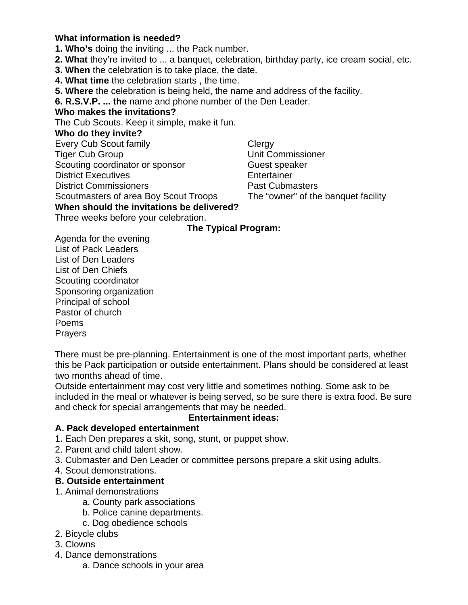### **What information is needed?**

**1. Who's** doing the inviting ... the Pack number.

- **2. What** they're invited to ... a banquet, celebration, birthday party, ice cream social, etc.
- **3. When** the celebration is to take place, the date.
- **4. What time** the celebration starts , the time.
- **5. Where** the celebration is being held, the name and address of the facility.
- **6. R.S.V.P. ... the** name and phone number of the Den Leader.

#### **Who makes the invitations?**

The Cub Scouts. Keep it simple, make it fun.

#### **Who do they invite?**

Every Cub Scout family **Clergy** Tiger Cub Group Unit Commissioner Scouting coordinator or sponsor **Guest Speaker** District Executives **Entertainer** 

District Commissioners **Past Cubmasters** 

Scoutmasters of area Boy Scout Troops The "owner" of the banquet facility

**When should the invitations be delivered?** 

Three weeks before your celebration.

### **The Typical Program:**

Agenda for the evening List of Pack Leaders List of Den Leaders List of Den Chiefs Scouting coordinator Sponsoring organization Principal of school Pastor of church Poems Prayers

There must be pre-planning. Entertainment is one of the most important parts, whether this be Pack participation or outside entertainment. Plans should be considered at least two months ahead of time.

Outside entertainment may cost very little and sometimes nothing. Some ask to be included in the meal or whatever is being served, so be sure there is extra food. Be sure and check for special arrangements that may be needed.

#### **Entertainment ideas:**

### **A. Pack developed entertainment**

- 1. Each Den prepares a skit, song, stunt, or puppet show.
- 2. Parent and child talent show.
- 3. Cubmaster and Den Leader or committee persons prepare a skit using adults.
- 4. Scout demonstrations.

### **B. Outside entertainment**

- 1. Animal demonstrations
	- a. County park associations
	- b. Police canine departments.
	- c. Dog obedience schools
- 2. Bicycle clubs
- 3. Clowns
- 4. Dance demonstrations
	- a. Dance schools in your area